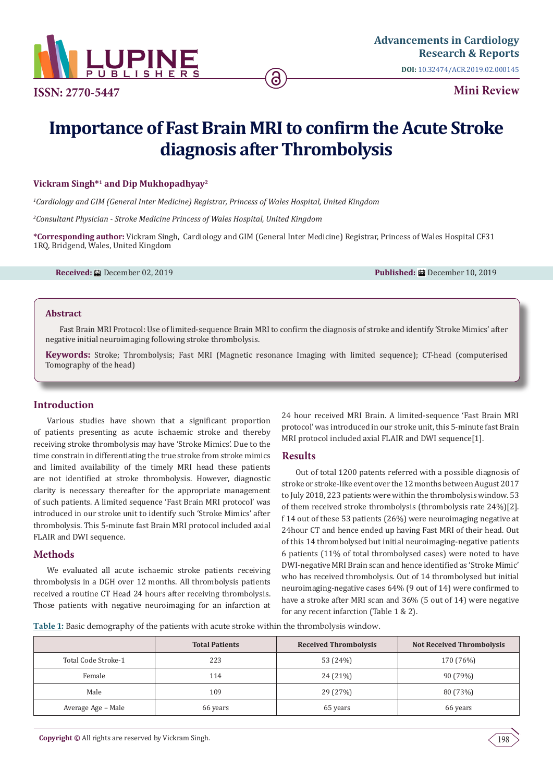

**ISSN: 2770-5447**

**Mini Review**

# **Importance of Fast Brain MRI to confirm the Acute Stroke diagnosis after Thrombolysis**

## **Vickram Singh\*<sup>1</sup> and Dip Mukhopadhyay<sup>2</sup>**

*1 Cardiology and GIM (General Inter Medicine) Registrar, Princess of Wales Hospital, United Kingdom*

*2 Consultant Physician - Stroke Medicine Princess of Wales Hospital, United Kingdom*

**\*Corresponding author:** Vickram Singh, Cardiology and GIM (General Inter Medicine) Registrar, Princess of Wales Hospital CF31 1RQ, Bridgend, Wales, United Kingdom

**Received:** December 02, 2019 **Published:** December 10, 2019

#### **Abstract**

Fast Brain MRI Protocol: Use of limited-sequence Brain MRI to confirm the diagnosis of stroke and identify 'Stroke Mimics' after negative initial neuroimaging following stroke thrombolysis.

**Keywords:** Stroke; Thrombolysis; Fast MRI (Magnetic resonance Imaging with limited sequence); CT-head (computerised Tomography of the head)

## **Introduction**

Various studies have shown that a significant proportion of patients presenting as acute ischaemic stroke and thereby receiving stroke thrombolysis may have 'Stroke Mimics'. Due to the time constrain in differentiating the true stroke from stroke mimics and limited availability of the timely MRI head these patients are not identified at stroke thrombolysis. However, diagnostic clarity is necessary thereafter for the appropriate management of such patients. A limited sequence 'Fast Brain MRI protocol' was introduced in our stroke unit to identify such 'Stroke Mimics' after thrombolysis. This 5-minute fast Brain MRI protocol included axial FLAIR and DWI sequence.

## **Methods**

We evaluated all acute ischaemic stroke patients receiving thrombolysis in a DGH over 12 months. All thrombolysis patients received a routine CT Head 24 hours after receiving thrombolysis. Those patients with negative neuroimaging for an infarction at 24 hour received MRI Brain. A limited-sequence 'Fast Brain MRI protocol' was introduced in our stroke unit, this 5-minute fast Brain MRI protocol included axial FLAIR and DWI sequence[1].

## **Results**

Out of total 1200 patents referred with a possible diagnosis of stroke or stroke-like event over the 12 months between August 2017 to July 2018, 223 patients were within the thrombolysis window. 53 of them received stroke thrombolysis (thrombolysis rate 24%)[2]. f 14 out of these 53 patients (26%) were neuroimaging negative at 24hour CT and hence ended up having Fast MRI of their head. Out of this 14 thrombolysed but initial neuroimaging-negative patients 6 patients (11% of total thrombolysed cases) were noted to have DWI-negative MRI Brain scan and hence identified as 'Stroke Mimic' who has received thrombolysis. Out of 14 thrombolysed but initial neuroimaging-negative cases 64% (9 out of 14) were confirmed to have a stroke after MRI scan and 36% (5 out of 14) were negative for any recent infarction (Table 1 & 2).

**Table 1:** Basic demography of the patients with acute stroke within the thrombolysis window.

|                     | <b>Total Patients</b> | <b>Received Thrombolysis</b> | <b>Not Received Thrombolysis</b> |
|---------------------|-----------------------|------------------------------|----------------------------------|
| Total Code Stroke-1 | 223                   | 53 (24%)                     | 170 (76%)                        |
| Female              | 114                   | 24 (21%)                     | 90 (79%)                         |
| Male                | 109                   | 29 (27%)                     | 80 (73%)                         |
| Average Age – Male  | 66 years              | 65 years                     | 66 years                         |